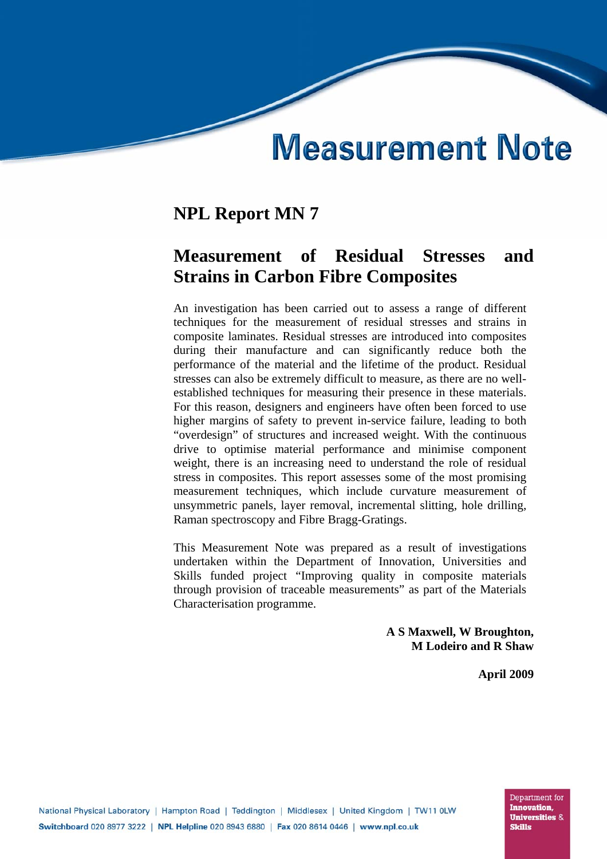# **Measurement Note**

# **NPL Report MN 7**

# **Measurement of Residual Stresses and Strains in Carbon Fibre Composites**

An investigation has been carried out to assess a range of different techniques for the measurement of residual stresses and strains in composite laminates. Residual stresses are introduced into composites during their manufacture and can significantly reduce both the performance of the material and the lifetime of the product. Residual stresses can also be extremely difficult to measure, as there are no wellestablished techniques for measuring their presence in these materials. For this reason, designers and engineers have often been forced to use higher margins of safety to prevent in-service failure, leading to both "overdesign" of structures and increased weight. With the continuous drive to optimise material performance and minimise component weight, there is an increasing need to understand the role of residual stress in composites. This report assesses some of the most promising measurement techniques, which include curvature measurement of unsymmetric panels, layer removal, incremental slitting, hole drilling, Raman spectroscopy and Fibre Bragg-Gratings.

This Measurement Note was prepared as a result of investigations undertaken within the Department of Innovation, Universities and Skills funded project "Improving quality in composite materials through provision of traceable measurements" as part of the Materials Characterisation programme.

> **A S Maxwell, W Broughton, M Lodeiro and R Shaw**

> > **April 2009**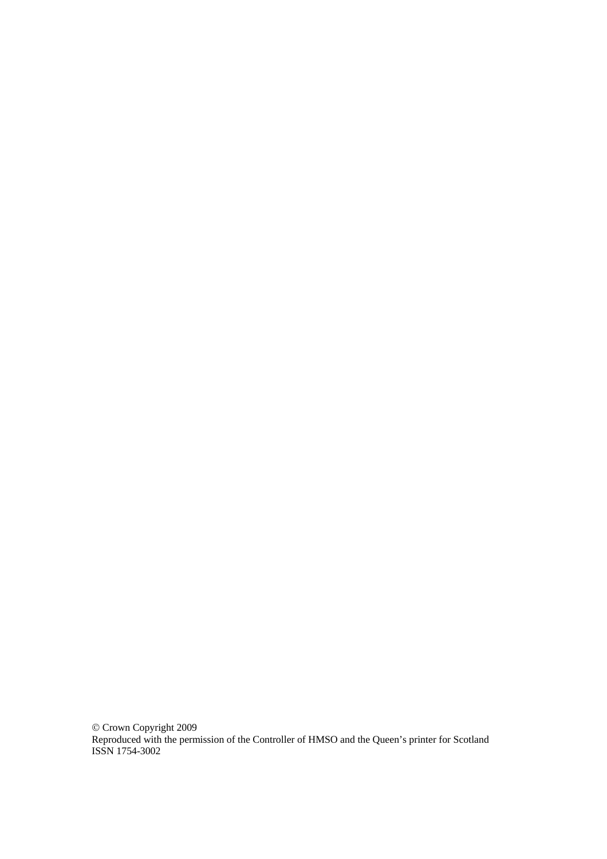© Crown Copyright 2009 Reproduced with the permission of the Controller of HMSO and the Queen's printer for Scotland ISSN 1754-3002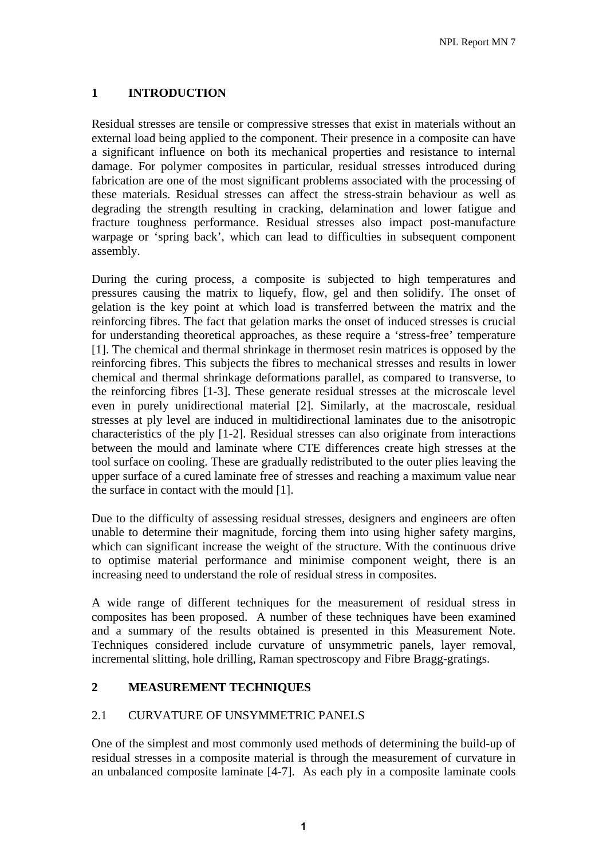# **1 INTRODUCTION**

Residual stresses are tensile or compressive stresses that exist in materials without an external load being applied to the component. Their presence in a composite can have a significant influence on both its mechanical properties and resistance to internal damage. For polymer composites in particular, residual stresses introduced during fabrication are one of the most significant problems associated with the processing of these materials. Residual stresses can affect the stress-strain behaviour as well as degrading the strength resulting in cracking, delamination and lower fatigue and fracture toughness performance. Residual stresses also impact post-manufacture warpage or 'spring back', which can lead to difficulties in subsequent component assembly.

During the curing process, a composite is subjected to high temperatures and pressures causing the matrix to liquefy, flow, gel and then solidify. The onset of gelation is the key point at which load is transferred between the matrix and the reinforcing fibres. The fact that gelation marks the onset of induced stresses is crucial for understanding theoretical approaches, as these require a 'stress-free' temperature [1]. The chemical and thermal shrinkage in thermoset resin matrices is opposed by the reinforcing fibres. This subjects the fibres to mechanical stresses and results in lower chemical and thermal shrinkage deformations parallel, as compared to transverse, to the reinforcing fibres [1-3]. These generate residual stresses at the microscale level even in purely unidirectional material [2]. Similarly, at the macroscale, residual stresses at ply level are induced in multidirectional laminates due to the anisotropic characteristics of the ply [1-2]. Residual stresses can also originate from interactions between the mould and laminate where CTE differences create high stresses at the tool surface on cooling. These are gradually redistributed to the outer plies leaving the upper surface of a cured laminate free of stresses and reaching a maximum value near the surface in contact with the mould [1].

Due to the difficulty of assessing residual stresses, designers and engineers are often unable to determine their magnitude, forcing them into using higher safety margins, which can significant increase the weight of the structure. With the continuous drive to optimise material performance and minimise component weight, there is an increasing need to understand the role of residual stress in composites.

A wide range of different techniques for the measurement of residual stress in composites has been proposed. A number of these techniques have been examined and a summary of the results obtained is presented in this Measurement Note. Techniques considered include curvature of unsymmetric panels, layer removal, incremental slitting, hole drilling, Raman spectroscopy and Fibre Bragg-gratings.

# **2 MEASUREMENT TECHNIQUES**

# 2.1 CURVATURE OF UNSYMMETRIC PANELS

One of the simplest and most commonly used methods of determining the build-up of residual stresses in a composite material is through the measurement of curvature in an unbalanced composite laminate [4-7]. As each ply in a composite laminate cools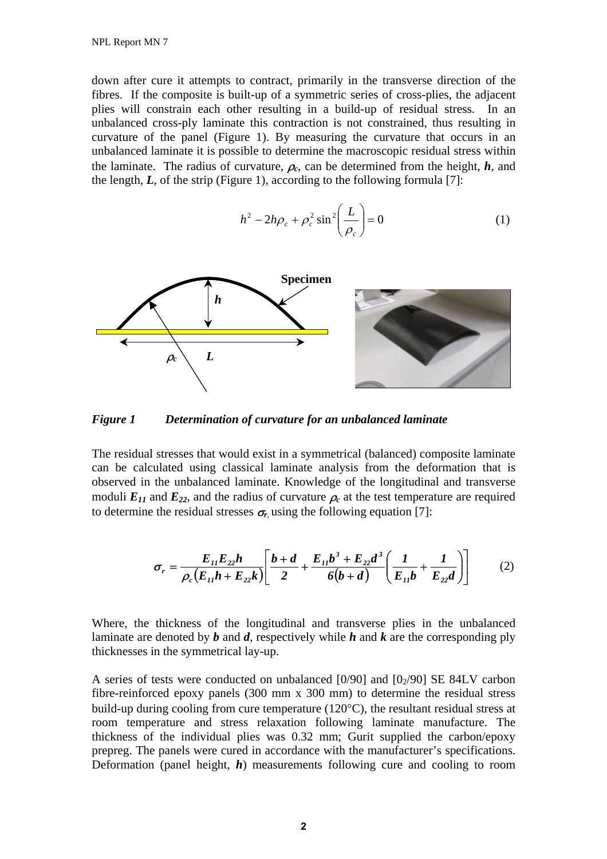down after cure it attempts to contract, primarily in the transverse direction of the fibres. If the composite is built-up of a symmetric series of cross-plies, the adjacent plies will constrain each other resulting in a build-up of residual stress. In an unbalanced cross-ply laminate this contraction is not constrained, thus resulting in curvature of the panel (Figure 1). By measuring the curvature that occurs in an unbalanced laminate it is possible to determine the macroscopic residual stress within the laminate. The radius of curvature,  $\rho_c$ , can be determined from the height,  $h$ , and the length,  $L$ , of the strip (Figure 1), according to the following formula [7]:

$$
h^2 - 2h\rho_c + \rho_c^2 \sin^2\left(\frac{L}{\rho_c}\right) = 0
$$
 (1)



*Figure 1 Determination of curvature for an unbalanced laminate* 

The residual stresses that would exist in a symmetrical (balanced) composite laminate can be calculated using classical laminate analysis from the deformation that is observed in the unbalanced laminate. Knowledge of the longitudinal and transverse moduli  $E_{11}$  and  $E_{22}$ , and the radius of curvature  $\rho_c$  at the test temperature are required to determine the residual stresses  $\sigma_r$  using the following equation [7]:

$$
\sigma_r = \frac{E_{11}E_{22}h}{\rho_c(E_{11}h + E_{22}k)} \left[ \frac{b+d}{2} + \frac{E_{11}b^3 + E_{22}d^3}{6(b+d)} \left( \frac{1}{E_{11}b} + \frac{1}{E_{22}d} \right) \right]
$$
(2)

Where, the thickness of the longitudinal and transverse plies in the unbalanced laminate are denoted by *b* and *d*, respectively while *h* and *k* are the corresponding ply thicknesses in the symmetrical lay-up.

A series of tests were conducted on unbalanced  $[0/90]$  and  $[0/90]$  SE 84LV carbon fibre-reinforced epoxy panels (300 mm x 300 mm) to determine the residual stress build-up during cooling from cure temperature (120°C), the resultant residual stress at room temperature and stress relaxation following laminate manufacture. The thickness of the individual plies was 0.32 mm; Gurit supplied the carbon/epoxy prepreg. The panels were cured in accordance with the manufacturer's specifications. Deformation (panel height, *h*) measurements following cure and cooling to room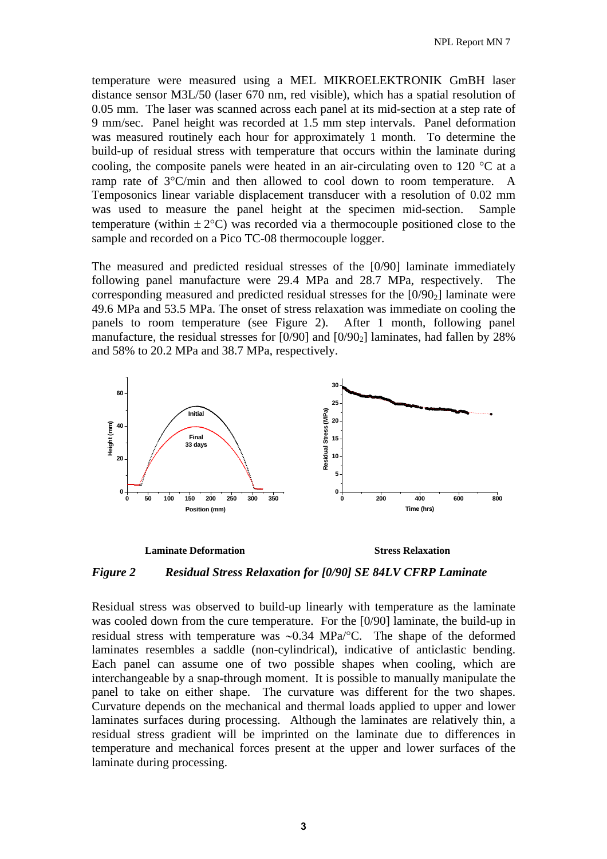temperature were measured using a MEL MIKROELEKTRONIK GmBH laser distance sensor M3L/50 (laser 670 nm, red visible), which has a spatial resolution of 0.05 mm. The laser was scanned across each panel at its mid-section at a step rate of 9 mm/sec. Panel height was recorded at 1.5 mm step intervals. Panel deformation was measured routinely each hour for approximately 1 month. To determine the build-up of residual stress with temperature that occurs within the laminate during cooling, the composite panels were heated in an air-circulating oven to 120 °C at a ramp rate of 3°C/min and then allowed to cool down to room temperature. A Temposonics linear variable displacement transducer with a resolution of 0.02 mm was used to measure the panel height at the specimen mid-section. Sample temperature (within  $\pm 2^{\circ}$ C) was recorded via a thermocouple positioned close to the sample and recorded on a Pico TC-08 thermocouple logger.

The measured and predicted residual stresses of the [0/90] laminate immediately following panel manufacture were 29.4 MPa and 28.7 MPa, respectively. The corresponding measured and predicted residual stresses for the  $[0/90<sub>2</sub>]$  laminate were 49.6 MPa and 53.5 MPa. The onset of stress relaxation was immediate on cooling the panels to room temperature (see Figure 2). After 1 month, following panel manufacture, the residual stresses for  $[0/90]$  and  $[0/90<sub>2</sub>]$  laminates, had fallen by 28% and 58% to 20.2 MPa and 38.7 MPa, respectively.



#### **Laminate Deformation Stress Relaxation**

# *Figure 2 Residual Stress Relaxation for [0/90] SE 84LV CFRP Laminate*

Residual stress was observed to build-up linearly with temperature as the laminate was cooled down from the cure temperature. For the [0/90] laminate, the build-up in residual stress with temperature was ∼0.34 MPa/°C. The shape of the deformed laminates resembles a saddle (non-cylindrical), indicative of anticlastic bending. Each panel can assume one of two possible shapes when cooling, which are interchangeable by a snap-through moment. It is possible to manually manipulate the panel to take on either shape. The curvature was different for the two shapes. Curvature depends on the mechanical and thermal loads applied to upper and lower laminates surfaces during processing. Although the laminates are relatively thin, a residual stress gradient will be imprinted on the laminate due to differences in temperature and mechanical forces present at the upper and lower surfaces of the laminate during processing.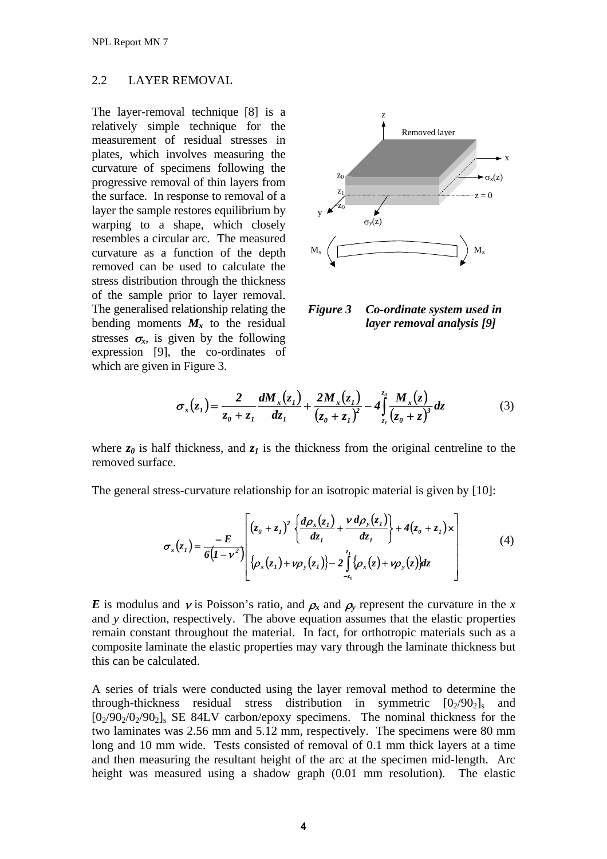# 2.2 LAYER REMOVAL

The layer-removal technique [8] is a relatively simple technique for the measurement of residual stresses in plates, which involves measuring the curvature of specimens following the progressive removal of thin layers from the surface. In response to removal of a layer the sample restores equilibrium by warping to a shape, which closely resembles a circular arc. The measured curvature as a function of the depth removed can be used to calculate the stress distribution through the thickness of the sample prior to layer removal. The generalised relationship relating the bending moments  $M_x$  to the residual stresses  $\sigma_{\rm r}$ , is given by the following expression [9], the co-ordinates of which are given in Figure 3.



*Figure 3 Co-ordinate system used in layer removal analysis [9]* 

$$
\sigma_x(z_1) = \frac{2}{z_0 + z_1} \frac{dM_x(z_1)}{dz_1} + \frac{2M_x(z_1)}{(z_0 + z_1)^2} - 4 \int_{z_1}^{z_0} \frac{M_x(z)}{(z_0 + z)^3} dz \tag{3}
$$

where  $z_0$  is half thickness, and  $z_1$  is the thickness from the original centreline to the removed surface.

The general stress-curvature relationship for an isotropic material is given by [10]:

$$
\sigma_x(z_1) = \frac{-E}{6(1-\nu^2)} \left[ (z_0 + z_1)^2 \left\{ \frac{d\rho_x(z_1)}{dz_1} + \frac{\nu d\rho_y(z_1)}{dz_1} \right\} + 4(z_0 + z_1) \times \left[ (\mathcal{A}) \left\{ \rho_x(z_1) + \nu \rho_y(z_1) \right\} - 2 \int_{z_0}^{z_1} \left\{ \rho_x(z) + \nu \rho_y(z) \right\} dz \right] \right]
$$
(4)

*E* is modulus and *v* is Poisson's ratio, and  $\rho_x$  and  $\rho_y$  represent the curvature in the *x* and *y* direction, respectively. The above equation assumes that the elastic properties remain constant throughout the material. In fact, for orthotropic materials such as a composite laminate the elastic properties may vary through the laminate thickness but this can be calculated.

A series of trials were conducted using the layer removal method to determine the through-thickness residual stress distribution in symmetric  $[0<sub>2</sub>/90<sub>2</sub>]$  and  $[0<sub>2</sub>/90<sub>2</sub>/0<sub>2</sub>/90<sub>2</sub>]$ <sub>s</sub> SE 84LV carbon/epoxy specimens. The nominal thickness for the two laminates was 2.56 mm and 5.12 mm, respectively. The specimens were 80 mm long and 10 mm wide. Tests consisted of removal of 0.1 mm thick layers at a time and then measuring the resultant height of the arc at the specimen mid-length. Arc height was measured using a shadow graph (0.01 mm resolution). The elastic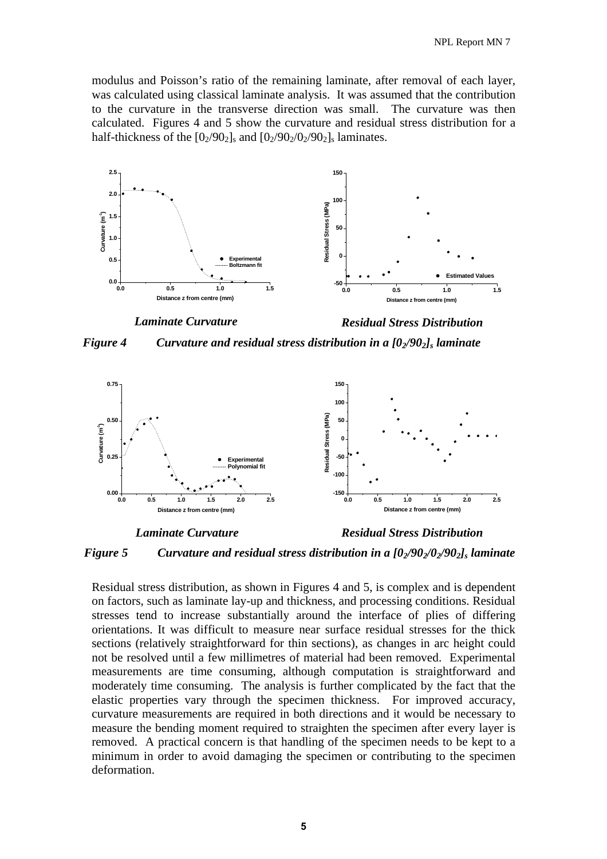modulus and Poisson's ratio of the remaining laminate, after removal of each layer, was calculated using classical laminate analysis. It was assumed that the contribution to the curvature in the transverse direction was small. The curvature was then calculated. Figures 4 and 5 show the curvature and residual stress distribution for a half-thickness of the  $[0_2/90_2]_s$  and  $[0_2/90_2/90_2/90_2]_s$  laminates.



*Figure 4* Curvature and residual stress distribution in a  $[0/90<sub>2</sub>]$  laminate



*Laminate Curvature Residual Stress Distribution* 



Residual stress distribution, as shown in Figures 4 and 5, is complex and is dependent on factors, such as laminate lay-up and thickness, and processing conditions. Residual stresses tend to increase substantially around the interface of plies of differing orientations. It was difficult to measure near surface residual stresses for the thick sections (relatively straightforward for thin sections), as changes in arc height could not be resolved until a few millimetres of material had been removed. Experimental measurements are time consuming, although computation is straightforward and moderately time consuming. The analysis is further complicated by the fact that the elastic properties vary through the specimen thickness. For improved accuracy, curvature measurements are required in both directions and it would be necessary to measure the bending moment required to straighten the specimen after every layer is removed. A practical concern is that handling of the specimen needs to be kept to a minimum in order to avoid damaging the specimen or contributing to the specimen deformation.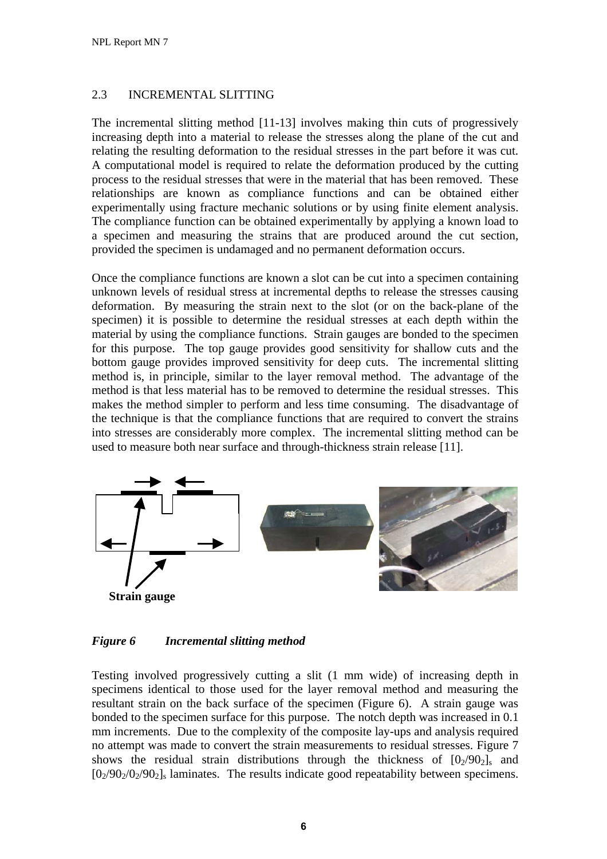# 2.3 INCREMENTAL SLITTING

The incremental slitting method [11-13] involves making thin cuts of progressively increasing depth into a material to release the stresses along the plane of the cut and relating the resulting deformation to the residual stresses in the part before it was cut. A computational model is required to relate the deformation produced by the cutting process to the residual stresses that were in the material that has been removed. These relationships are known as compliance functions and can be obtained either experimentally using fracture mechanic solutions or by using finite element analysis. The compliance function can be obtained experimentally by applying a known load to a specimen and measuring the strains that are produced around the cut section, provided the specimen is undamaged and no permanent deformation occurs.

Once the compliance functions are known a slot can be cut into a specimen containing unknown levels of residual stress at incremental depths to release the stresses causing deformation. By measuring the strain next to the slot (or on the back-plane of the specimen) it is possible to determine the residual stresses at each depth within the material by using the compliance functions. Strain gauges are bonded to the specimen for this purpose. The top gauge provides good sensitivity for shallow cuts and the bottom gauge provides improved sensitivity for deep cuts. The incremental slitting method is, in principle, similar to the layer removal method. The advantage of the method is that less material has to be removed to determine the residual stresses. This makes the method simpler to perform and less time consuming. The disadvantage of the technique is that the compliance functions that are required to convert the strains into stresses are considerably more complex. The incremental slitting method can be used to measure both near surface and through-thickness strain release [11].



## *Figure 6 Incremental slitting method*

Testing involved progressively cutting a slit (1 mm wide) of increasing depth in specimens identical to those used for the layer removal method and measuring the resultant strain on the back surface of the specimen (Figure 6). A strain gauge was bonded to the specimen surface for this purpose. The notch depth was increased in 0.1 mm increments. Due to the complexity of the composite lay-ups and analysis required no attempt was made to convert the strain measurements to residual stresses. Figure 7 shows the residual strain distributions through the thickness of  $[0<sub>2</sub>/90<sub>2</sub>]$  and  $[0<sub>2</sub>/90<sub>2</sub>/0<sub>2</sub>/90<sub>2</sub>]$  alminates. The results indicate good repeatability between specimens.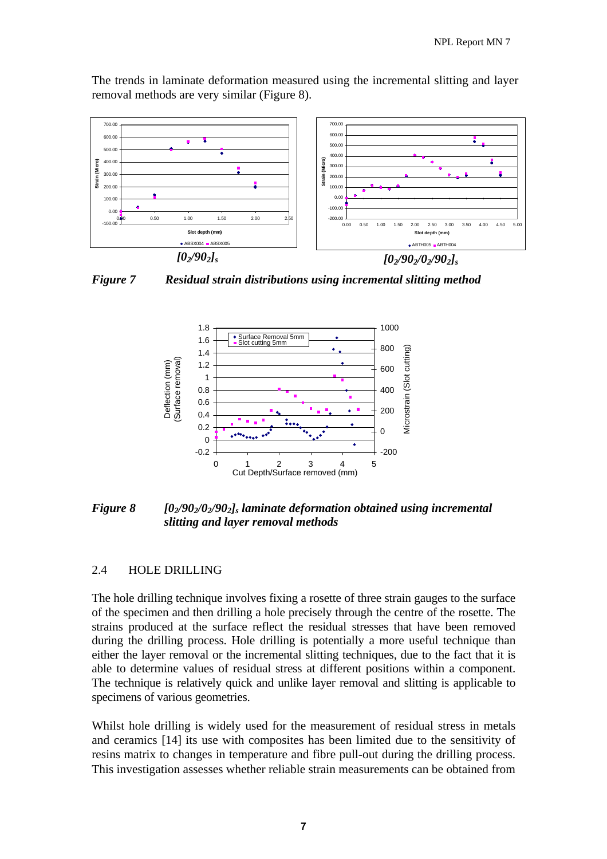The trends in laminate deformation measured using the incremental slitting and layer removal methods are very similar (Figure 8).



*Figure 7 Residual strain distributions using incremental slitting method* 



*Figure 8* [0<sub>2</sub>/90<sub>2</sub>/0<sub>2</sub>/90<sub>2</sub>]<sub>s</sub> laminate deformation obtained using incremental *slitting and layer removal methods* 

## 2.4 HOLE DRILLING

The hole drilling technique involves fixing a rosette of three strain gauges to the surface of the specimen and then drilling a hole precisely through the centre of the rosette. The strains produced at the surface reflect the residual stresses that have been removed during the drilling process. Hole drilling is potentially a more useful technique than either the layer removal or the incremental slitting techniques, due to the fact that it is able to determine values of residual stress at different positions within a component. The technique is relatively quick and unlike layer removal and slitting is applicable to specimens of various geometries.

Whilst hole drilling is widely used for the measurement of residual stress in metals and ceramics [14] its use with composites has been limited due to the sensitivity of resins matrix to changes in temperature and fibre pull-out during the drilling process. This investigation assesses whether reliable strain measurements can be obtained from